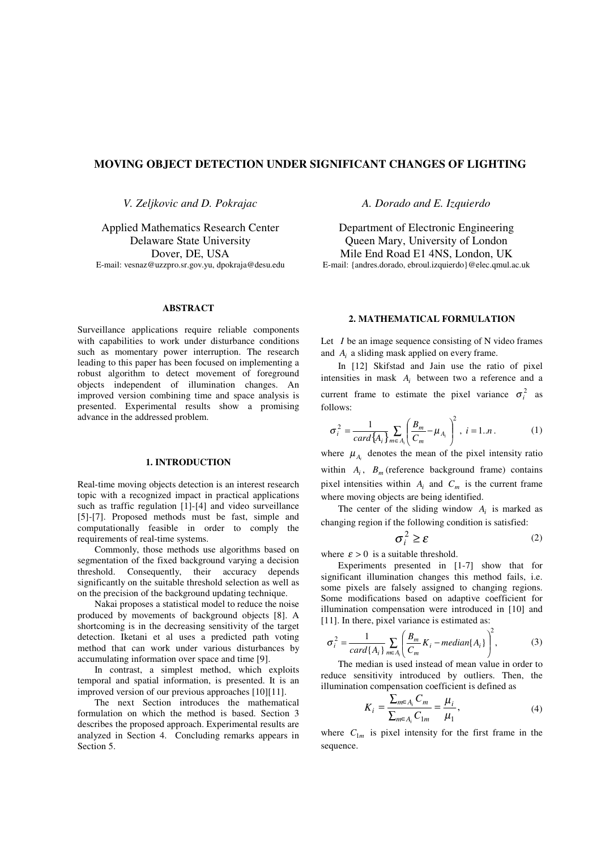# **MOVING OBJECT DETECTION UNDER SIGNIFICANT CHANGES OF LIGHTING**

*V. Zeljkovic and D. Pokrajac*

Applied Mathematics Research Center Delaware State University Dover, DE, USA E-mail: vesnaz@uzzpro.sr.gov.yu, dpokraja@desu.edu

## *A. Dorado and E. Izquierdo*

Department of Electronic Engineering Queen Mary, University of London Mile End Road E1 4NS, London, UK E-mail: {andres.dorado, ebroul.izquierdo}@elec.qmul.ac.uk

#### **ABSTRACT**

Surveillance applications require reliable components with capabilities to work under disturbance conditions such as momentary power interruption. The research leading to this paper has been focused on implementing a robust algorithm to detect movement of foreground objects independent of illumination changes. An improved version combining time and space analysis is presented. Experimental results show a promising advance in the addressed problem.

### **1. INTRODUCTION**

Real-time moving objects detection is an interest research topic with a recognized impact in practical applications such as traffic regulation [1]-[4] and video surveillance [5]-[7]. Proposed methods must be fast, simple and computationally feasible in order to comply the requirements of real-time systems.

Commonly, those methods use algorithms based on segmentation of the fixed background varying a decision threshold. Consequently, their accuracy depends significantly on the suitable threshold selection as well as on the precision of the background updating technique.

Nakai proposes a statistical model to reduce the noise produced by movements of background objects [8]. A shortcoming is in the decreasing sensitivity of the target detection. Iketani et al uses a predicted path voting method that can work under various disturbances by accumulating information over space and time [9].

In contrast, a simplest method, which exploits temporal and spatial information, is presented. It is an improved version of our previous approaches [10][11].

The next Section introduces the mathematical formulation on which the method is based. Section 3 describes the proposed approach. Experimental results are analyzed in Section 4. Concluding remarks appears in Section 5.

## **2. MATHEMATICAL FORMULATION**

Let *I* be an image sequence consisting of N video frames and  $A_i$  a sliding mask applied on every frame.

In [12] Skifstad and Jain use the ratio of pixel intensities in mask  $A_i$  between two a reference and a current frame to estimate the pixel variance  $\sigma_i^2$  as follows:

$$
\sigma_i^2 = \frac{1}{card\{A_i\}} \sum_{m \in A_i} \left(\frac{B_m}{C_m} - \mu_{A_i}\right)^2, \ i = 1..n. \tag{1}
$$

where  $\mu_{A_i}$  denotes the mean of the pixel intensity ratio within  $A_i$ ,  $B_m$  (reference background frame) contains pixel intensities within  $A_i$  and  $C_m$  is the current frame where moving objects are being identified.

The center of the sliding window  $A_i$  is marked as changing region if the following condition is satisfied:

$$
\sigma_i^2 \ge \varepsilon \tag{2}
$$

where  $\varepsilon > 0$  is a suitable threshold.

Experiments presented in [1-7] show that for significant illumination changes this method fails, i.e. some pixels are falsely assigned to changing regions. Some modifications based on adaptive coefficient for illumination compensation were introduced in [10] and [11]. In there, pixel variance is estimated as:

$$
\sigma_i^2 = \frac{1}{card\{A_i\}} \sum_{m \in A_i} \left( \frac{B_m}{C_m} K_i - median\{A_i\} \right)^2, \tag{3}
$$

The median is used instead of mean value in order to reduce sensitivity introduced by outliers. Then, the illumination compensation coefficient is defined as

$$
K_{i} = \frac{\sum_{m \in A_{i}} C_{m}}{\sum_{m \in A_{i}} C_{1m}} = \frac{\mu_{i}}{\mu_{1}},
$$
\n(4)

where  $C_{1m}$  is pixel intensity for the first frame in the sequence.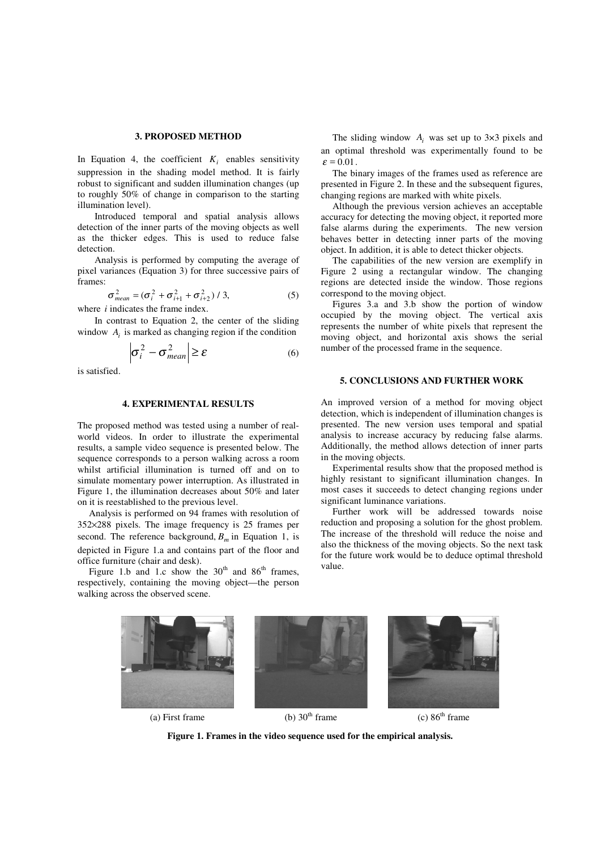#### **3. PROPOSED METHOD**

In Equation 4, the coefficient  $K_i$  enables sensitivity suppression in the shading model method. It is fairly robust to significant and sudden illumination changes (up to roughly 50% of change in comparison to the starting illumination level).

Introduced temporal and spatial analysis allows detection of the inner parts of the moving objects as well as the thicker edges. This is used to reduce false detection.

Analysis is performed by computing the average of pixel variances (Equation 3) for three successive pairs of frames:

$$
\sigma_{mean}^{2} = (\sigma_{i}^{2} + \sigma_{i+1}^{2} + \sigma_{i+2}^{2}) / 3,
$$
\n(5)

where *i* indicates the frame index.

In contrast to Equation 2, the center of the sliding window  $A_i$  is marked as changing region if the condition

$$
\left|\sigma_i^2 - \sigma_{mean}^2\right| \ge \varepsilon \tag{6}
$$

is satisfied.

## **4. EXPERIMENTAL RESULTS**

The proposed method was tested using a number of realworld videos. In order to illustrate the experimental results, a sample video sequence is presented below. The sequence corresponds to a person walking across a room whilst artificial illumination is turned off and on to simulate momentary power interruption. As illustrated in Figure 1, the illumination decreases about 50% and later on it is reestablished to the previous level.

Analysis is performed on 94 frames with resolution of 352×288 pixels. The image frequency is 25 frames per second. The reference background,  $B_m$  in Equation 1, is depicted in Figure 1.a and contains part of the floor and office furniture (chair and desk).

Figure 1.b and 1.c show the  $30<sup>th</sup>$  and  $86<sup>th</sup>$  frames, respectively, containing the moving object—the person walking across the observed scene.

The sliding window  $A_i$  was set up to 3×3 pixels and an optimal threshold was experimentally found to be  $\varepsilon = 0.01$ .

The binary images of the frames used as reference are presented in Figure 2. In these and the subsequent figures, changing regions are marked with white pixels.

Although the previous version achieves an acceptable accuracy for detecting the moving object, it reported more false alarms during the experiments. The new version behaves better in detecting inner parts of the moving object. In addition, it is able to detect thicker objects.

The capabilities of the new version are exemplify in Figure 2 using a rectangular window. The changing regions are detected inside the window. Those regions correspond to the moving object.

Figures 3.a and 3.b show the portion of window occupied by the moving object. The vertical axis represents the number of white pixels that represent the moving object, and horizontal axis shows the serial number of the processed frame in the sequence.

## **5. CONCLUSIONS AND FURTHER WORK**

An improved version of a method for moving object detection, which is independent of illumination changes is presented. The new version uses temporal and spatial analysis to increase accuracy by reducing false alarms. Additionally, the method allows detection of inner parts in the moving objects.

Experimental results show that the proposed method is highly resistant to significant illumination changes. In most cases it succeeds to detect changing regions under significant luminance variations.

Further work will be addressed towards noise reduction and proposing a solution for the ghost problem. The increase of the threshold will reduce the noise and also the thickness of the moving objects. So the next task for the future work would be to deduce optimal threshold value.



**Figure 1. Frames in the video sequence used for the empirical analysis.**